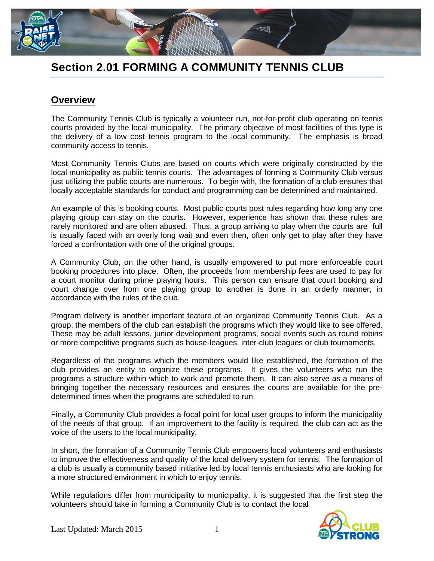

## **Section 2.01 FORMING A COMMUNITY TENNIS CLUB**

## **Overview**

The Community Tennis Club is typically a volunteer run, not-for-profit club operating on tennis courts provided by the local municipality. The primary objective of most facilities of this type is the delivery of a low cost tennis program to the local community. The emphasis is broad community access to tennis.

Most Community Tennis Clubs are based on courts which were originally constructed by the local municipality as public tennis courts. The advantages of forming a Community Club versus just utilizing the public courts are numerous. To begin with, the formation of a club ensures that locally acceptable standards for conduct and programming can be determined and maintained.

An example of this is booking courts. Most public courts post rules regarding how long any one playing group can stay on the courts. However, experience has shown that these rules are rarely monitored and are often abused. Thus, a group arriving to play when the courts are full is usually faced with an overly long wait and even then, often only get to play after they have forced a confrontation with one of the original groups.

A Community Club, on the other hand, is usually empowered to put more enforceable court booking procedures into place. Often, the proceeds from membership fees are used to pay for a court monitor during prime playing hours. This person can ensure that court booking and court change over from one playing group to another is done in an orderly manner, in accordance with the rules of the club.

Program delivery is another important feature of an organized Community Tennis Club. As a group, the members of the club can establish the programs which they would like to see offered. These may be adult lessons, junior development programs, social events such as round robins or more competitive programs such as house-leagues, inter-club leagues or club tournaments.

Regardless of the programs which the members would like established, the formation of the club provides an entity to organize these programs. It gives the volunteers who run the programs a structure within which to work and promote them. It can also serve as a means of bringing together the necessary resources and ensures the courts are available for the predetermined times when the programs are scheduled to run.

Finally, a Community Club provides a focal point for local user groups to inform the municipality of the needs of that group. If an improvement to the facility is required, the club can act as the voice of the users to the local municipality.

In short, the formation of a Community Tennis Club empowers local volunteers and enthusiasts to improve the effectiveness and quality of the local delivery system for tennis. The formation of a club is usually a community based initiative led by local tennis enthusiasts who are looking for a more structured environment in which to enjoy tennis.

While regulations differ from municipality to municipality, it is suggested that the first step the volunteers should take in forming a Community Club is to contact the local